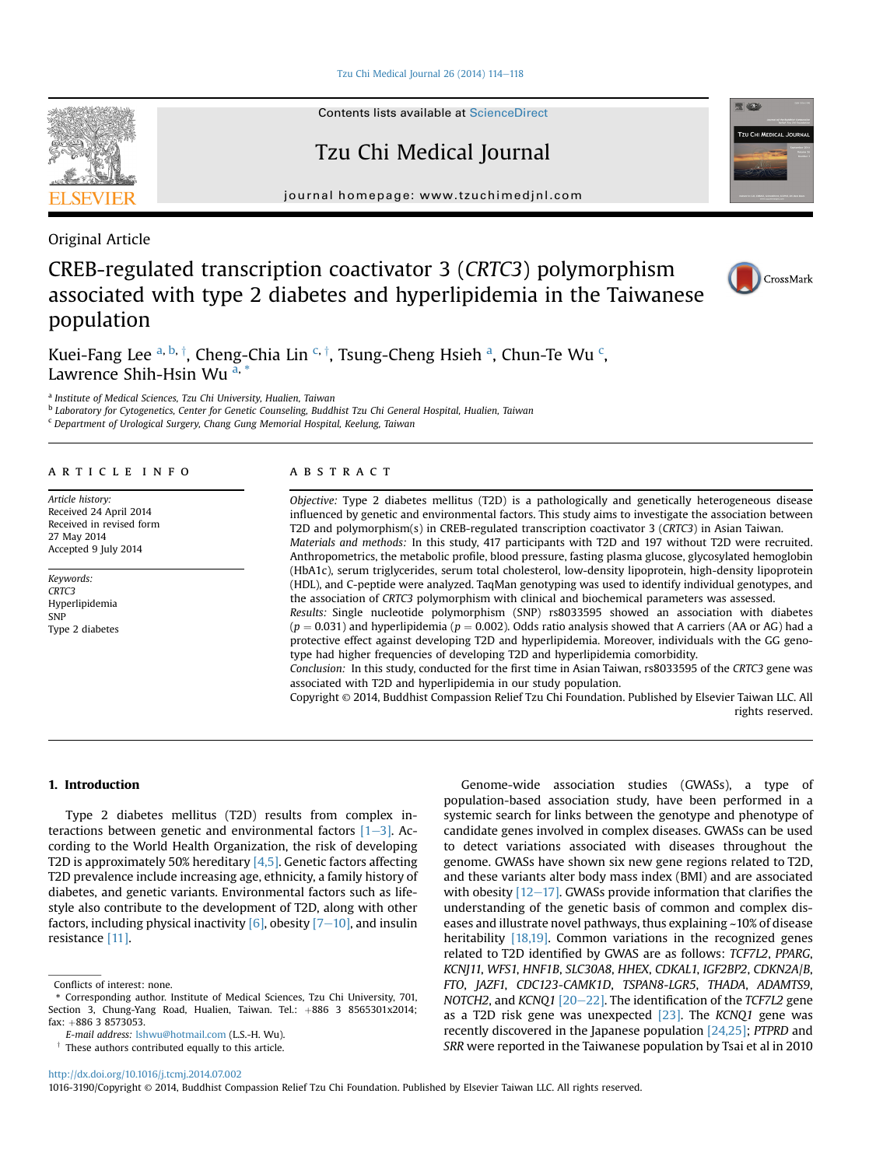[Tzu Chi Medical Journal 26 \(2014\) 114](http://dx.doi.org/10.1016/j.tcmj.2014.07.002)-[118](http://dx.doi.org/10.1016/j.tcmj.2014.07.002)

Contents lists available at [ScienceDirect](www.sciencedirect.com/science/journal/10163190)

Tzu Chi Medical Journal

journal homepage: [www.tzuchimedjnl.com](http://www.tzuchimedjnl.com)

Original Article

# CREB-regulated transcription coactivator 3 (CRTC3) polymorphism associated with type 2 diabetes and hyperlipidemia in the Taiwanese population

Kuei-Fang Lee <sup>a, b, †</sup>, Cheng-Chia Lin <sup>c, †</sup>, Tsung-Cheng Hsieh <sup>a</sup>, Chun-Te Wu <sup>c</sup>, Lawrence Shih-Hsin Wu  $a$ ,

<sup>a</sup> Institute of Medical Sciences, Tzu Chi University, Hualien, Taiwan

<sup>b</sup> Laboratory for Cytogenetics, Center for Genetic Counseling, Buddhist Tzu Chi General Hospital, Hualien, Taiwan

<sup>c</sup> Department of Urological Surgery, Chang Gung Memorial Hospital, Keelung, Taiwan

## article info

Article history: Received 24 April 2014 Received in revised form 27 May 2014 Accepted 9 July 2014

Keywords: CRTC3 Hyperlipidemia SNP Type 2 diabetes

### **ABSTRACT**

Objective: Type 2 diabetes mellitus (T2D) is a pathologically and genetically heterogeneous disease influenced by genetic and environmental factors. This study aims to investigate the association between T2D and polymorphism(s) in CREB-regulated transcription coactivator 3 (CRTC3) in Asian Taiwan. Materials and methods: In this study, 417 participants with T2D and 197 without T2D were recruited. Anthropometrics, the metabolic profile, blood pressure, fasting plasma glucose, glycosylated hemoglobin (HbA1c), serum triglycerides, serum total cholesterol, low-density lipoprotein, high-density lipoprotein (HDL), and C-peptide were analyzed. TaqMan genotyping was used to identify individual genotypes, and the association of CRTC3 polymorphism with clinical and biochemical parameters was assessed.

Results: Single nucleotide polymorphism (SNP) rs8033595 showed an association with diabetes  $(p = 0.031)$  and hyperlipidemia  $(p = 0.002)$ . Odds ratio analysis showed that A carriers (AA or AG) had a protective effect against developing T2D and hyperlipidemia. Moreover, individuals with the GG genotype had higher frequencies of developing T2D and hyperlipidemia comorbidity.

Conclusion: In this study, conducted for the first time in Asian Taiwan, rs8033595 of the CRTC3 gene was associated with T2D and hyperlipidemia in our study population.

Copyright © 2014, Buddhist Compassion Relief Tzu Chi Foundation. Published by Elsevier Taiwan LLC. All rights reserved.

#### 1. Introduction

Type 2 diabetes mellitus (T2D) results from complex interactions between genetic and environmental factors  $[1-3]$  $[1-3]$  $[1-3]$ . According to the World Health Organization, the risk of developing T2D is approximately 50% hereditary  $[4,5]$ . Genetic factors affecting T2D prevalence include increasing age, ethnicity, a family history of diabetes, and genetic variants. Environmental factors such as lifestyle also contribute to the development of T2D, along with other factors, including physical inactivity  $[6]$ , obesity  $[7-10]$  $[7-10]$  $[7-10]$ , and insulin resistance [\[11\]](#page-3-0).

Genome-wide association studies (GWASs), a type of population-based association study, have been performed in a systemic search for links between the genotype and phenotype of candidate genes involved in complex diseases. GWASs can be used to detect variations associated with diseases throughout the genome. GWASs have shown six new gene regions related to T2D, and these variants alter body mass index (BMI) and are associated with obesity  $[12-17]$  $[12-17]$  $[12-17]$ . GWASs provide information that clarifies the understanding of the genetic basis of common and complex diseases and illustrate novel pathways, thus explaining ~10% of disease heritability [\[18,19\].](#page-3-0) Common variations in the recognized genes related to T2D identified by GWAS are as follows: TCF7L2, PPARG, KCNJ11, WFS1, HNF1B, SLC30A8, HHEX, CDKAL1, IGF2BP2, CDKN2A/B, FTO, JAZF1, CDC123-CAMK1D, TSPAN8-LGR5, THADA, ADAMTS9, NOTCH2, and KCNQ1  $[20-22]$  $[20-22]$  $[20-22]$ . The identification of the TCF7L2 gene as a T2D risk gene was unexpected  $[23]$ . The KCNQ1 gene was recently discovered in the Japanese population [\[24,25\];](#page-3-0) PTPRD and SRR were reported in the Taiwanese population by Tsai et al in 2010



<sup>1016-3190/</sup>Copyright © 2014, Buddhist Compassion Relief Tzu Chi Foundation. Published by Elsevier Taiwan LLC. All rights reserved.





CrossMark

Conflicts of interest: none.

<sup>\*</sup> Corresponding author. Institute of Medical Sciences, Tzu Chi University, 701, Section 3, Chung-Yang Road, Hualien, Taiwan. Tel.:  $+886$  3 8565301x2014; fax: +886 3 8573053.

E-mail address: [lshwu@hotmail.com](mailto:lshwu@hotmail.com) (L.S.-H. Wu).

 $\dagger$  These authors contributed equally to this article.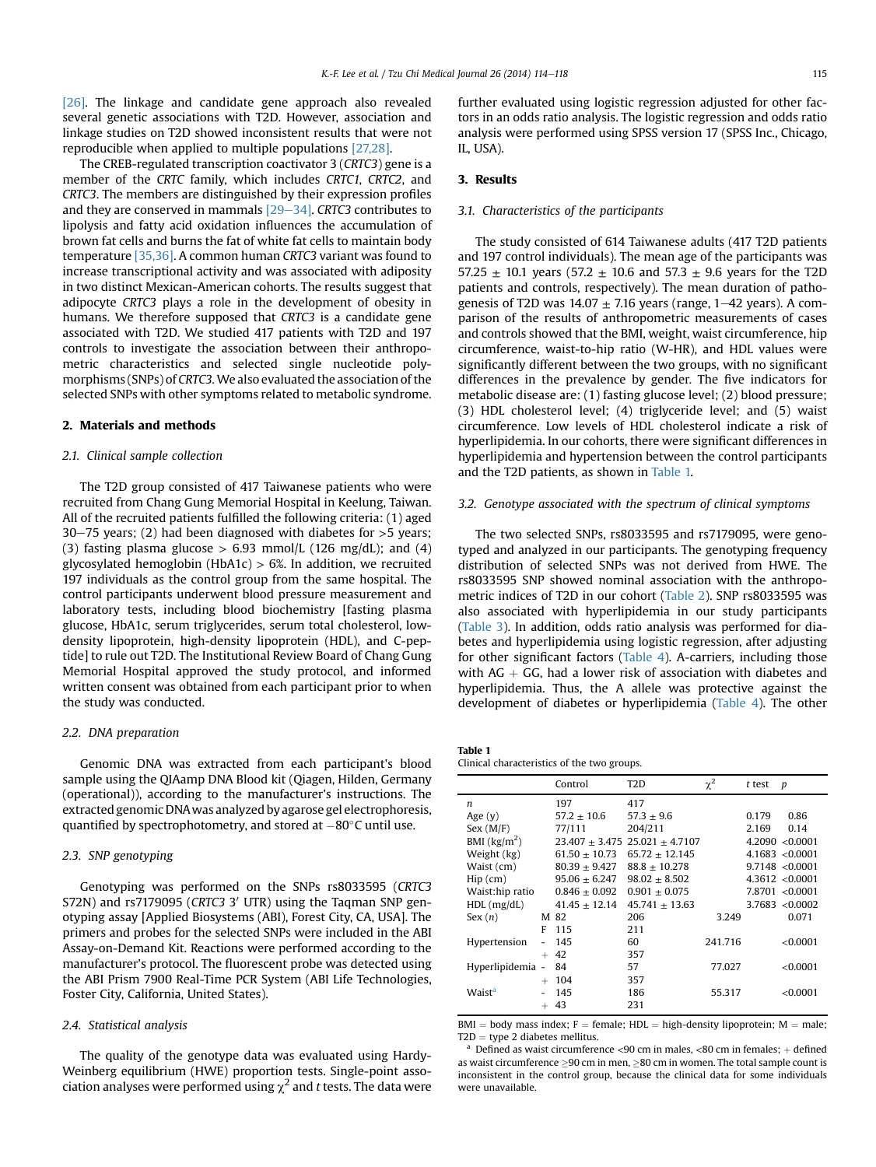[\[26\].](#page-3-0) The linkage and candidate gene approach also revealed several genetic associations with T2D. However, association and linkage studies on T2D showed inconsistent results that were not reproducible when applied to multiple populations [\[27,28\]](#page-3-0).

The CREB-regulated transcription coactivator 3 (CRTC3) gene is a member of the CRTC family, which includes CRTC1, CRTC2, and CRTC3. The members are distinguished by their expression profiles and they are conserved in mammals  $[29-34]$  $[29-34]$ . CRTC3 contributes to lipolysis and fatty acid oxidation influences the accumulation of brown fat cells and burns the fat of white fat cells to maintain body temperature [\[35,36\]](#page-4-0). A common human CRTC3 variant was found to increase transcriptional activity and was associated with adiposity in two distinct Mexican-American cohorts. The results suggest that adipocyte CRTC3 plays a role in the development of obesity in humans. We therefore supposed that CRTC3 is a candidate gene associated with T2D. We studied 417 patients with T2D and 197 controls to investigate the association between their anthropometric characteristics and selected single nucleotide polymorphisms (SNPs) of CRTC3.We also evaluated the association of the selected SNPs with other symptoms related to metabolic syndrome.

#### 2. Materials and methods

#### 2.1. Clinical sample collection

The T2D group consisted of 417 Taiwanese patients who were recruited from Chang Gung Memorial Hospital in Keelung, Taiwan. All of the recruited patients fulfilled the following criteria: (1) aged 30–75 years; (2) had been diagnosed with diabetes for  $>5$  years; (3) fasting plasma glucose  $> 6.93$  mmol/L (126 mg/dL); and (4) glycosylated hemoglobin (HbA1c)  $> 6\%$ . In addition, we recruited 197 individuals as the control group from the same hospital. The control participants underwent blood pressure measurement and laboratory tests, including blood biochemistry [fasting plasma glucose, HbA1c, serum triglycerides, serum total cholesterol, lowdensity lipoprotein, high-density lipoprotein (HDL), and C-peptide] to rule out T2D. The Institutional Review Board of Chang Gung Memorial Hospital approved the study protocol, and informed written consent was obtained from each participant prior to when the study was conducted.

#### 2.2. DNA preparation

Genomic DNA was extracted from each participant's blood sample using the QIAamp DNA Blood kit (Qiagen, Hilden, Germany (operational)), according to the manufacturer's instructions. The extracted genomic DNAwas analyzed by agarose gel electrophoresis, quantified by spectrophotometry, and stored at  $-80^{\circ}$ C until use.

### 2.3. SNP genotyping

Genotyping was performed on the SNPs rs8033595 (CRTC3 S72N) and rs7179095 (CRTC3 3' UTR) using the Taqman SNP genotyping assay [Applied Biosystems (ABI), Forest City, CA, USA]. The primers and probes for the selected SNPs were included in the ABI Assay-on-Demand Kit. Reactions were performed according to the manufacturer's protocol. The fluorescent probe was detected using the ABI Prism 7900 Real-Time PCR System (ABI Life Technologies, Foster City, California, United States).

#### 2.4. Statistical analysis

The quality of the genotype data was evaluated using Hardy-Weinberg equilibrium (HWE) proportion tests. Single-point association analyses were performed using  $\chi^2$  and t tests. The data were further evaluated using logistic regression adjusted for other factors in an odds ratio analysis. The logistic regression and odds ratio analysis were performed using SPSS version 17 (SPSS Inc., Chicago, IL, USA).

# 3. Results

### 3.1. Characteristics of the participants

The study consisted of 614 Taiwanese adults (417 T2D patients and 197 control individuals). The mean age of the participants was 57.25  $\pm$  10.1 years (57.2  $\pm$  10.6 and 57.3  $\pm$  9.6 years for the T2D patients and controls, respectively). The mean duration of pathogenesis of T2D was  $14.07 \pm 7.16$  years (range,  $1-42$  years). A comparison of the results of anthropometric measurements of cases and controls showed that the BMI, weight, waist circumference, hip circumference, waist-to-hip ratio (W-HR), and HDL values were significantly different between the two groups, with no significant differences in the prevalence by gender. The five indicators for metabolic disease are: (1) fasting glucose level; (2) blood pressure; (3) HDL cholesterol level; (4) triglyceride level; and (5) waist circumference. Low levels of HDL cholesterol indicate a risk of hyperlipidemia. In our cohorts, there were significant differences in hyperlipidemia and hypertension between the control participants and the T2D patients, as shown in Table 1.

#### 3.2. Genotype associated with the spectrum of clinical symptoms

The two selected SNPs, rs8033595 and rs7179095, were genotyped and analyzed in our participants. The genotyping frequency distribution of selected SNPs was not derived from HWE. The rs8033595 SNP showed nominal association with the anthropometric indices of T2D in our cohort [\(Table 2\)](#page-2-0). SNP rs8033595 was also associated with hyperlipidemia in our study participants ([Table 3](#page-2-0)). In addition, odds ratio analysis was performed for diabetes and hyperlipidemia using logistic regression, after adjusting for other significant factors ([Table 4\)](#page-2-0). A-carriers, including those with  $AG + GG$ , had a lower risk of association with diabetes and hyperlipidemia. Thus, the A allele was protective against the development of diabetes or hyperlipidemia [\(Table 4\)](#page-2-0). The other

Table 1 Clinical characteristics of the two groups.

|                                   |   | Control           | T <sub>2</sub> D                       | $\chi^2$ | $t$ test | $\boldsymbol{p}$    |
|-----------------------------------|---|-------------------|----------------------------------------|----------|----------|---------------------|
| n                                 |   | 197               | 417                                    |          |          |                     |
| Age $(y)$                         |   | $57.2 \pm 10.6$   | $57.3 \pm 9.6$                         |          | 0.179    | 0.86                |
| Sex (M/F)                         |   | 77/111            | 204/211                                |          | 2.169    | 0.14                |
| BMI $\left(\frac{kg}{m^2}\right)$ |   |                   | $23.407 \pm 3.475$ 25.021 $\pm$ 4.7107 |          |          | 4.2090 < 0.0001     |
| Weight (kg)                       |   | $61.50 \pm 10.73$ | $65.72 \pm 12.145$                     |          |          | $4.1683$ <0.0001    |
| Waist (cm)                        |   | $80.39 + 9.427$   | $88.8 + 10.278$                        |          |          | 9.7148 < 0.0001     |
| $Hip$ (cm)                        |   | $95.06 \pm 6.247$ | $98.02 \pm 8.502$                      |          |          | $4.3612 \le 0.0001$ |
| Waist:hip ratio                   |   | $0.846 + 0.092$   | $0.901 + 0.075$                        |          |          | 7.8701 < 0.0001     |
| $HDL$ (mg/dL)                     |   | $41.45 + 12.14$   | $45.741 \pm 13.63$                     |          |          | $3.7683$ <0.0002    |
| Sex(n)                            |   | M 82              | 206                                    | 3.249    |          | 0.071               |
|                                   | F | 115               | 211                                    |          |          |                     |
| Hypertension                      |   | 145               | 60                                     | 241.716  |          | < 0.0001            |
|                                   |   | $+42$             | 357                                    |          |          |                     |
| Hyperlipidemia -                  |   | 84                | 57                                     | 77.027   |          | < 0.0001            |
|                                   |   | $+ 104$           | 357                                    |          |          |                     |
| Waist <sup>a</sup>                |   | 145               | 186                                    | 55.317   |          | < 0.0001            |
|                                   |   | $+ 43$            | 231                                    |          |          |                     |
|                                   |   |                   |                                        |          |          |                     |

BMI = body mass index; F = female; HDL = high-density lipoprotein; M = male; T2D = type 2 diabetes mellitus.

Defined as waist circumference <90 cm in males, <80 cm in females; + defined as waist circumference 90 cm in men, 80 cm in women. The total sample count is inconsistent in the control group, because the clinical data for some individuals were unavailable.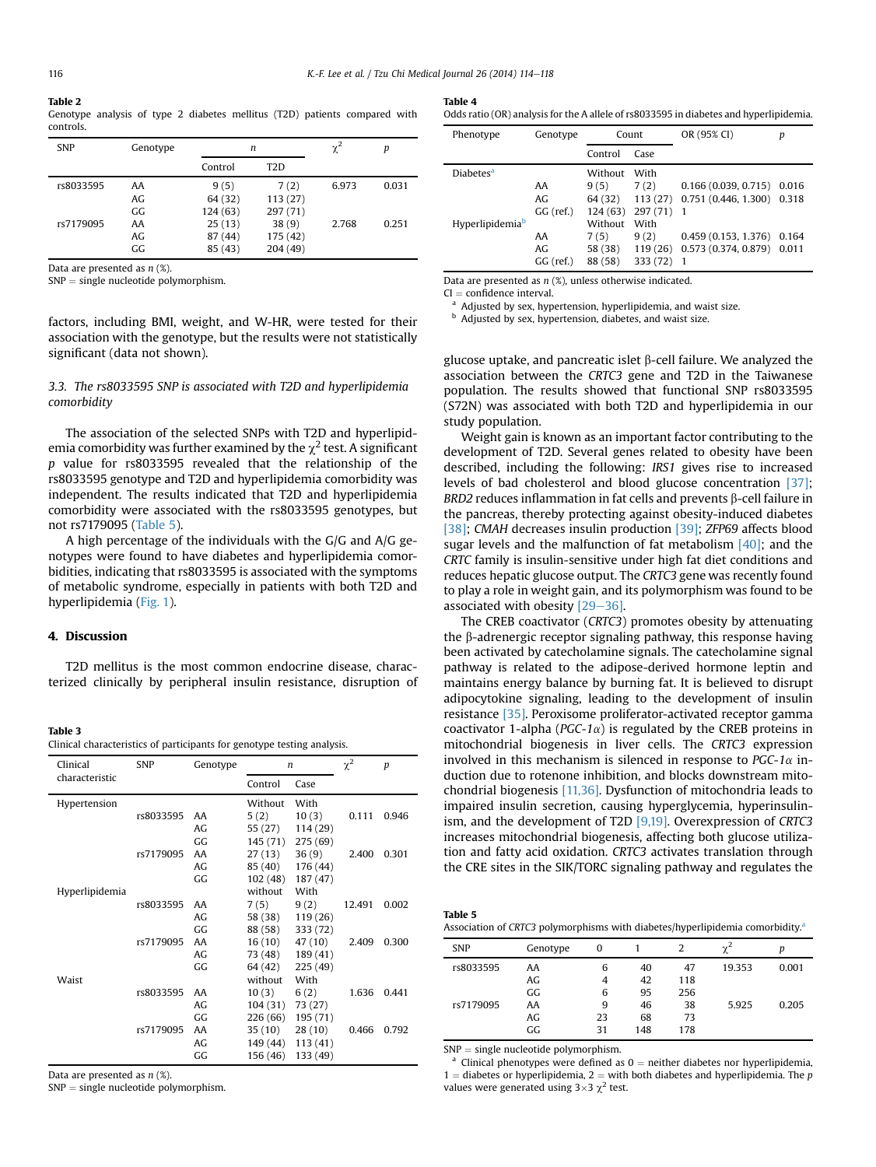<span id="page-2-0"></span>

| Table 2   |  |  |  |  |                                                                            |  |
|-----------|--|--|--|--|----------------------------------------------------------------------------|--|
|           |  |  |  |  | Genotype analysis of type 2 diabetes mellitus (T2D) patients compared with |  |
| controls. |  |  |  |  |                                                                            |  |

| <b>SNP</b> | Genotype              |                                          | n                                         |       | р     |
|------------|-----------------------|------------------------------------------|-------------------------------------------|-------|-------|
|            |                       | Control                                  | T <sub>2</sub> D                          |       |       |
| rs8033595  | AA<br>AG.             | 9(5)<br>64 (32)                          | 7(2)<br>113 (27)                          | 6.973 | 0.031 |
| rs7179095  | GG.<br>AA<br>AG<br>GG | 124 (63)<br>25(13)<br>87 (44)<br>85 (43) | 297 (71)<br>38(9)<br>175 (42)<br>204 (49) | 2.768 | 0.251 |

Data are presented as  $n$  (%).

 $SNP =$  single nucleotide polymorphism.

factors, including BMI, weight, and W-HR, were tested for their association with the genotype, but the results were not statistically significant (data not shown).

# 3.3. The rs8033595 SNP is associated with T2D and hyperlipidemia comorbidity

The association of the selected SNPs with T2D and hyperlipidemia comorbidity was further examined by the  $\chi^2$  test. A significant p value for rs8033595 revealed that the relationship of the rs8033595 genotype and T2D and hyperlipidemia comorbidity was independent. The results indicated that T2D and hyperlipidemia comorbidity were associated with the rs8033595 genotypes, but not rs7179095 (Table 5).

A high percentage of the individuals with the G/G and A/G genotypes were found to have diabetes and hyperlipidemia comorbidities, indicating that rs8033595 is associated with the symptoms of metabolic syndrome, especially in patients with both T2D and hyperlipidemia ([Fig. 1](#page-3-0)).

# 4. Discussion

T2D mellitus is the most common endocrine disease, characterized clinically by peripheral insulin resistance, disruption of

Table 3 Clinical characteristics of participants for genotype testing analysis.

| Clinical       | <b>SNP</b> | Genotype | n        |          | $\chi^2$ | $\boldsymbol{p}$ |
|----------------|------------|----------|----------|----------|----------|------------------|
| characteristic |            |          | Control  | Case     |          |                  |
| Hypertension   |            |          | Without  | With     |          |                  |
|                | rs8033595  | AA       | 5(2)     | 10(3)    | 0.111    | 0.946            |
|                |            | AG       | 55 (27)  | 114 (29) |          |                  |
|                |            | GG       | 145 (71) | 275 (69) |          |                  |
|                | rs7179095  | AA       | 27(13)   | 36(9)    | 2.400    | 0.301            |
|                |            | AG       | 85 (40)  | 176 (44) |          |                  |
|                |            | GG       | 102(48)  | 187 (47) |          |                  |
| Hyperlipidemia |            |          | without  | With     |          |                  |
|                | rs8033595  | AA       | 7(5)     | 9(2)     | 12.491   | 0.002            |
|                |            | AG       | 58 (38)  | 119 (26) |          |                  |
|                |            | GG       | 88 (58)  | 333 (72) |          |                  |
|                | rs7179095  | AA       | 16(10)   | 47(10)   | 2.409    | 0.300            |
|                |            | AG       | 73 (48)  | 189 (41) |          |                  |
|                |            | GG       | 64 (42)  | 225 (49) |          |                  |
| Waist          |            |          | without  | With     |          |                  |
|                | rs8033595  | AA       | 10(3)    | 6(2)     | 1.636    | 0.441            |
|                |            | AG       | 104 (31) | 73 (27)  |          |                  |
|                |            | GG       | 226 (66) | 195 (71) |          |                  |
|                | rs7179095  | AA       | 35 (10)  | 28(10)   | 0.466    | 0.792            |
|                |            | AG       | 149 (44) | 113 (41) |          |                  |
|                |            | GG       | 156 (46) | 133 (49) |          |                  |

Data are presented as  $n$  (%).

 $SNP = single nucleotide polymorphism.$ 

#### Table 4

| Odds ratio (OR) analysis for the A allele of rs8033595 in diabetes and hyperlipidemia. |  |
|----------------------------------------------------------------------------------------|--|
|----------------------------------------------------------------------------------------|--|

| Phenotype                   | Genotype        |         | Count    | OR (95% CI)         | р     |
|-----------------------------|-----------------|---------|----------|---------------------|-------|
|                             |                 | Control | Case     |                     |       |
| Diabetes <sup>a</sup>       |                 | Without | With     |                     |       |
|                             | AA              | 9(5)    | 7(2)     | 0.166(0.039, 0.715) | 0.016 |
|                             | AG <sub>r</sub> | 64 (32) | 113(27)  | 0.751(0.446, 1.300) | 0.318 |
|                             | GG (ref.)       | 124(63) | 297(71)  | -1                  |       |
| Hyperlipidemia <sup>b</sup> |                 | Without | With     |                     |       |
|                             | AA              | 7(5)    | 9(2)     | 0.459(0.153, 1.376) | 0.164 |
|                             | AG.             | 58 (38) | 119 (26) | 0.573(0.374, 0.879) | 0.011 |
|                             | GG (ref.)       | 88 (58) | 333 (72) | -1                  |       |

Data are presented as  $n$  (%), unless otherwise indicated.

 $CI =$  confidence interval.<br><sup>a</sup> Adjusted by sex, hypertension, hyperlipidemia, and waist size.

b Adjusted by sex, hypertension, diabetes, and waist size.

glucose uptake, and pancreatic islet  $\beta$ -cell failure. We analyzed the association between the CRTC3 gene and T2D in the Taiwanese population. The results showed that functional SNP rs8033595 (S72N) was associated with both T2D and hyperlipidemia in our study population.

Weight gain is known as an important factor contributing to the development of T2D. Several genes related to obesity have been described, including the following: IRS1 gives rise to increased levels of bad cholesterol and blood glucose concentration [\[37\]](#page-4-0);  $BRD2$  reduces inflammation in fat cells and prevents  $\beta$ -cell failure in the pancreas, thereby protecting against obesity-induced diabetes [\[38\]](#page-4-0); CMAH decreases insulin production [\[39\];](#page-4-0) ZFP69 affects blood sugar levels and the malfunction of fat metabolism  $[40]$ ; and the CRTC family is insulin-sensitive under high fat diet conditions and reduces hepatic glucose output. The CRTC3 gene was recently found to play a role in weight gain, and its polymorphism was found to be associated with obesity  $[29-36]$  $[29-36]$ .

The CREB coactivator (CRTC3) promotes obesity by attenuating the  $\beta$ -adrenergic receptor signaling pathway, this response having been activated by catecholamine signals. The catecholamine signal pathway is related to the adipose-derived hormone leptin and maintains energy balance by burning fat. It is believed to disrupt adipocytokine signaling, leading to the development of insulin resistance [\[35\]](#page-4-0). Peroxisome proliferator-activated receptor gamma coactivator 1-alpha ( $PGC-1\alpha$ ) is regulated by the CREB proteins in mitochondrial biogenesis in liver cells. The CRTC3 expression involved in this mechanism is silenced in response to  $PGC-1\alpha$  induction due to rotenone inhibition, and blocks downstream mitochondrial biogenesis [\[11,36\]](#page-3-0). Dysfunction of mitochondria leads to impaired insulin secretion, causing hyperglycemia, hyperinsulinism, and the development of T2D [\[9,19\].](#page-3-0) Overexpression of CRTC3 increases mitochondrial biogenesis, affecting both glucose utilization and fatty acid oxidation. CRTC3 activates translation through the CRE sites in the SIK/TORC signaling pathway and regulates the

| Table 5 |                                                                                           |  |
|---------|-------------------------------------------------------------------------------------------|--|
|         | Association of CRTC3 polymorphisms with diabetes/hyperlipidemia comorbidity. <sup>a</sup> |  |

| <b>SNP</b> | Genotype | 0  |     | 2   | $\gamma^2$ | D     |
|------------|----------|----|-----|-----|------------|-------|
| rs8033595  | AA       | 6  | 40  | 47  | 19.353     | 0.001 |
|            | AG       | 4  | 42  | 118 |            |       |
|            | GG       | 6  | 95  | 256 |            |       |
| rs7179095  | AA       | 9  | 46  | 38  | 5.925      | 0.205 |
|            | AG       | 23 | 68  | 73  |            |       |
|            | GG       | 31 | 148 | 178 |            |       |

 $SNP =$  single nucleotide polymorphism.<br><sup>a</sup> Clinical phenotypes were defined as 0 = neither diabetes nor hyperlipidemia, 1 = diabetes or hyperlipidemia, 2 = with both diabetes and hyperlipidemia. The p values were generated using  $3\times3$   $\chi^2$  test.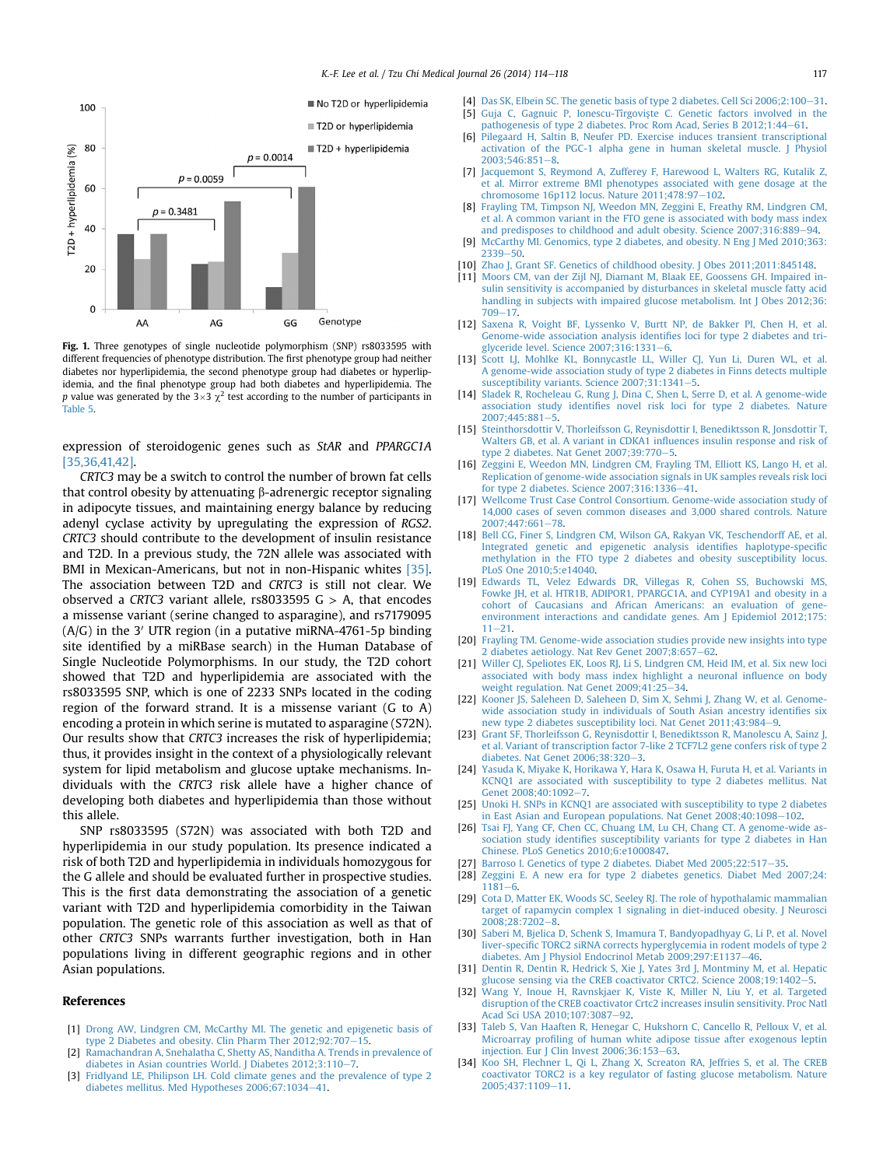<span id="page-3-0"></span>

Fig. 1. Three genotypes of single nucleotide polymorphism (SNP) rs8033595 with different frequencies of phenotype distribution. The first phenotype group had neither diabetes nor hyperlipidemia, the second phenotype group had diabetes or hyperlipidemia, and the final phenotype group had both diabetes and hyperlipidemia. The p value was generated by the  $3\times3$   $\chi^2$  test according to the number of participants in [Table 5.](#page-2-0)

expression of steroidogenic genes such as StAR and PPARGC1A [\[35,36,41,42\].](#page-4-0)

CRTC3 may be a switch to control the number of brown fat cells that control obesity by attenuating  $\beta$ -adrenergic receptor signaling in adipocyte tissues, and maintaining energy balance by reducing adenyl cyclase activity by upregulating the expression of RGS2. CRTC3 should contribute to the development of insulin resistance and T2D. In a previous study, the 72N allele was associated with BMI in Mexican-Americans, but not in non-Hispanic whites [\[35\].](#page-4-0) The association between T2D and CRTC3 is still not clear. We observed a CRTC3 variant allele,  $rs8033595 G > A$ , that encodes a missense variant (serine changed to asparagine), and rs7179095  $(A/G)$  in the 3' UTR region (in a putative miRNA-4761-5p binding site identified by a miRBase search) in the Human Database of Single Nucleotide Polymorphisms. In our study, the T2D cohort showed that T2D and hyperlipidemia are associated with the rs8033595 SNP, which is one of 2233 SNPs located in the coding region of the forward strand. It is a missense variant (G to A) encoding a protein in which serine is mutated to asparagine (S72N). Our results show that CRTC3 increases the risk of hyperlipidemia; thus, it provides insight in the context of a physiologically relevant system for lipid metabolism and glucose uptake mechanisms. Individuals with the CRTC3 risk allele have a higher chance of developing both diabetes and hyperlipidemia than those without this allele.

SNP rs8033595 (S72N) was associated with both T2D and hyperlipidemia in our study population. Its presence indicated a risk of both T2D and hyperlipidemia in individuals homozygous for the G allele and should be evaluated further in prospective studies. This is the first data demonstrating the association of a genetic variant with T2D and hyperlipidemia comorbidity in the Taiwan population. The genetic role of this association as well as that of other CRTC3 SNPs warrants further investigation, both in Han populations living in different geographic regions and in other Asian populations.

#### References

- [1] [Drong AW, Lindgren CM, McCarthy MI. The genetic and epigenetic basis of](http://refhub.elsevier.com/S1016-3190(14)00063-9/sref1) [type 2 Diabetes and obesity. Clin Pharm Ther 2012;92:707](http://refhub.elsevier.com/S1016-3190(14)00063-9/sref1)-[15.](http://refhub.elsevier.com/S1016-3190(14)00063-9/sref1)
- [2] [Ramachandran A, Snehalatha C, Shetty AS, Nanditha A. Trends in prevalence of](http://refhub.elsevier.com/S1016-3190(14)00063-9/sref2) [diabetes in Asian countries World. J Diabetes 2012;3:110](http://refhub.elsevier.com/S1016-3190(14)00063-9/sref2)-[7](http://refhub.elsevier.com/S1016-3190(14)00063-9/sref2).
- [3] [Fridlyand LE, Philipson LH. Cold climate genes and the prevalence of type 2](http://refhub.elsevier.com/S1016-3190(14)00063-9/sref3) [diabetes mellitus. Med Hypotheses 2006;67:1034](http://refhub.elsevier.com/S1016-3190(14)00063-9/sref3)-[41](http://refhub.elsevier.com/S1016-3190(14)00063-9/sref3).
- [4] [Das SK, Elbein SC. The genetic basis of type 2 diabetes. Cell Sci 2006;2:100](http://refhub.elsevier.com/S1016-3190(14)00063-9/sref4)-[31](http://refhub.elsevier.com/S1016-3190(14)00063-9/sref4). [5] [Guja C, Gagnuic P, Ionescu-Tîrgovis](http://refhub.elsevier.com/S1016-3190(14)00063-9/sref5)te C. Genetic factors involved in the pathogenesis of type 2 diabetes. Proc Rom Acad, Series B 2012:1:44-[61.](http://refhub.elsevier.com/S1016-3190(14)00063-9/sref5)
- [6] [Pilegaard H, Saltin B, Neufer PD. Exercise induces transient transcriptional](http://refhub.elsevier.com/S1016-3190(14)00063-9/sref6) [activation of the PGC-1 alpha gene in human skeletal muscle. J Physiol](http://refhub.elsevier.com/S1016-3190(14)00063-9/sref6)  $2003:546:851 - 8$
- [7] [Jacquemont S, Reymond A, Zufferey F, Harewood L, Walters RG, Kutalik Z,](http://refhub.elsevier.com/S1016-3190(14)00063-9/sref7) [et al. Mirror extreme BMI phenotypes associated with gene dosage at the](http://refhub.elsevier.com/S1016-3190(14)00063-9/sref7) chromosome 16p112 locus. Nature  $2011:478:97-102$ .
- [8] [Frayling TM, Timpson NJ, Weedon MN, Zeggini E, Freathy RM, Lindgren CM,](http://refhub.elsevier.com/S1016-3190(14)00063-9/sref8) [et al. A common variant in the FTO gene is associated with body mass index](http://refhub.elsevier.com/S1016-3190(14)00063-9/sref8) [and predisposes to childhood and adult obesity. Science 2007;316:889](http://refhub.elsevier.com/S1016-3190(14)00063-9/sref8)-[94](http://refhub.elsevier.com/S1016-3190(14)00063-9/sref8).
- [9] [McCarthy MI. Genomics, type 2 diabetes, and obesity. N Eng J Med 2010;363:](http://refhub.elsevier.com/S1016-3190(14)00063-9/sref9)  $2339 - 50.$  $2339 - 50.$  $2339 - 50.$  $2339 - 50.$
- [10] [Zhao J, Grant SF. Genetics of childhood obesity. J Obes 2011;2011:845148.](http://refhub.elsevier.com/S1016-3190(14)00063-9/sref10)
- [11] [Moors CM, van der Zijl NJ, Diamant M, Blaak EE, Goossens GH. Impaired in](http://refhub.elsevier.com/S1016-3190(14)00063-9/sref11)[sulin sensitivity is accompanied by disturbances in skeletal muscle fatty acid](http://refhub.elsevier.com/S1016-3190(14)00063-9/sref11) [handling in subjects with impaired glucose metabolism. Int J Obes 2012;36:](http://refhub.elsevier.com/S1016-3190(14)00063-9/sref11) [709](http://refhub.elsevier.com/S1016-3190(14)00063-9/sref11)-17
- [12] [Saxena R, Voight BF, Lyssenko V, Burtt NP, de Bakker PI, Chen H, et al.](http://refhub.elsevier.com/S1016-3190(14)00063-9/sref12) [Genome-wide association analysis identi](http://refhub.elsevier.com/S1016-3190(14)00063-9/sref12)fies loci for type 2 diabetes and tri[glyceride level. Science 2007;316:1331](http://refhub.elsevier.com/S1016-3190(14)00063-9/sref12)-[6.](http://refhub.elsevier.com/S1016-3190(14)00063-9/sref12)
- [13] [Scott LJ, Mohlke KL, Bonnycastle LL, Willer CJ, Yun Li, Duren WL, et al.](http://refhub.elsevier.com/S1016-3190(14)00063-9/sref13) [A genome-wide association study of type 2 diabetes in Finns detects multiple](http://refhub.elsevier.com/S1016-3190(14)00063-9/sref13) [susceptibility variants. Science 2007;31:1341](http://refhub.elsevier.com/S1016-3190(14)00063-9/sref13)-[5](http://refhub.elsevier.com/S1016-3190(14)00063-9/sref13).
- [14] [Sladek R, Rocheleau G, Rung J, Dina C, Shen L, Serre D, et al. A genome-wide](http://refhub.elsevier.com/S1016-3190(14)00063-9/sref14) association study identifi[es novel risk loci for type 2 diabetes. Nature](http://refhub.elsevier.com/S1016-3190(14)00063-9/sref14)  $2007.445.881 - 5$  $2007.445.881 - 5$  $2007.445.881 - 5$
- [15] [Steinthorsdottir V, Thorleifsson G, Reynisdottir I, Benediktsson R, Jonsdottir T,](http://refhub.elsevier.com/S1016-3190(14)00063-9/sref15) [Walters GB, et al. A variant in CDKA1 in](http://refhub.elsevier.com/S1016-3190(14)00063-9/sref15)fluences insulin response and risk of type 2 diabetes. Nat Genet  $2007:39:770-5$ .
- [16] [Zeggini E, Weedon MN, Lindgren CM, Frayling TM, Elliott KS, Lango H, et al.](http://refhub.elsevier.com/S1016-3190(14)00063-9/sref16) [Replication of genome-wide association signals in UK samples reveals risk loci](http://refhub.elsevier.com/S1016-3190(14)00063-9/sref16) for type 2 diabetes. Science  $2007:316:1336-41$ .
- [17] [Wellcome Trust Case Control Consortium. Genome-wide association study of](http://refhub.elsevier.com/S1016-3190(14)00063-9/sref17) [14,000 cases of seven common diseases and 3,000 shared controls. Nature](http://refhub.elsevier.com/S1016-3190(14)00063-9/sref17) 2007:447:661-[78.](http://refhub.elsevier.com/S1016-3190(14)00063-9/sref17)
- [18] [Bell CG, Finer S, Lindgren CM, Wilson GA, Rakyan VK, Teschendorff AE, et al.](http://refhub.elsevier.com/S1016-3190(14)00063-9/sref18) [Integrated genetic and epigenetic analysis identi](http://refhub.elsevier.com/S1016-3190(14)00063-9/sref18)fies haplotype-specific [methylation in the FTO type 2 diabetes and obesity susceptibility locus.](http://refhub.elsevier.com/S1016-3190(14)00063-9/sref18) [PLoS One 2010;5:e14040.](http://refhub.elsevier.com/S1016-3190(14)00063-9/sref18)
- [19] [Edwards TL, Velez Edwards DR, Villegas R, Cohen SS, Buchowski MS,](http://refhub.elsevier.com/S1016-3190(14)00063-9/sref19) [Fowke JH, et al. HTR1B, ADIPOR1, PPARGC1A, and CYP19A1 and obesity in a](http://refhub.elsevier.com/S1016-3190(14)00063-9/sref19) [cohort of Caucasians and African Americans: an evaluation of gene](http://refhub.elsevier.com/S1016-3190(14)00063-9/sref19)[environment interactions and candidate genes. Am J Epidemiol 2012;175:](http://refhub.elsevier.com/S1016-3190(14)00063-9/sref19)  $11 - 21$  $11 - 21$ .
- [20] [Frayling TM. Genome-wide association studies provide new insights into type](http://refhub.elsevier.com/S1016-3190(14)00063-9/sref20) [2 diabetes aetiology. Nat Rev Genet 2007;8:657](http://refhub.elsevier.com/S1016-3190(14)00063-9/sref20)-[62.](http://refhub.elsevier.com/S1016-3190(14)00063-9/sref20)
- [21] [Willer CJ, Speliotes EK, Loos RJ, Li S, Lindgren CM, Heid IM, et al. Six new loci](http://refhub.elsevier.com/S1016-3190(14)00063-9/sref21) [associated with body mass index highlight a neuronal in](http://refhub.elsevier.com/S1016-3190(14)00063-9/sref21)fluence on body [weight regulation. Nat Genet 2009;41:25](http://refhub.elsevier.com/S1016-3190(14)00063-9/sref21)-[34](http://refhub.elsevier.com/S1016-3190(14)00063-9/sref21).
- [22] [Kooner JS, Saleheen D, Saleheen D, Sim X, Sehmi J, Zhang W, et al. Genome](http://refhub.elsevier.com/S1016-3190(14)00063-9/sref22)[wide association study in individuals of South Asian ancestry identi](http://refhub.elsevier.com/S1016-3190(14)00063-9/sref22)fies six [new type 2 diabetes susceptibility loci. Nat Genet 2011;43:984](http://refhub.elsevier.com/S1016-3190(14)00063-9/sref22)-[9.](http://refhub.elsevier.com/S1016-3190(14)00063-9/sref22)
- [23] [Grant SF, Thorleifsson G, Reynisdottir I, Benediktsson R, Manolescu A, Sainz J,](http://refhub.elsevier.com/S1016-3190(14)00063-9/sref23) [et al. Variant of transcription factor 7-like 2 TCF7L2 gene confers risk of type 2](http://refhub.elsevier.com/S1016-3190(14)00063-9/sref23) [diabetes. Nat Genet 2006;38:320](http://refhub.elsevier.com/S1016-3190(14)00063-9/sref23)-[3](http://refhub.elsevier.com/S1016-3190(14)00063-9/sref23).
- [24] [Yasuda K, Miyake K, Horikawa Y, Hara K, Osawa H, Furuta H, et al. Variants in](http://refhub.elsevier.com/S1016-3190(14)00063-9/sref24) [KCNQ1 are associated with susceptibility to type 2 diabetes mellitus. Nat](http://refhub.elsevier.com/S1016-3190(14)00063-9/sref24) Genet 2008:40:1092-[7](http://refhub.elsevier.com/S1016-3190(14)00063-9/sref24)
- [25] [Unoki H. SNPs in KCNQ1 are associated with susceptibility to type 2 diabetes](http://refhub.elsevier.com/S1016-3190(14)00063-9/sref25) in East Asian and European populations. Nat Genet  $2008:40:1098-102$  $2008:40:1098-102$ .
- [26] [Tsai FJ, Yang CF, Chen CC, Chuang LM, Lu CH, Chang CT. A genome-wide as](http://refhub.elsevier.com/S1016-3190(14)00063-9/sref26)sociation study identifi[es susceptibility variants for type 2 diabetes in Han](http://refhub.elsevier.com/S1016-3190(14)00063-9/sref26) [Chinese. PLoS Genetics 2010;6:e1000847](http://refhub.elsevier.com/S1016-3190(14)00063-9/sref26).
- [27] [Barroso I. Genetics of type 2 diabetes. Diabet Med 2005;22:517](http://refhub.elsevier.com/S1016-3190(14)00063-9/sref27)-[35.](http://refhub.elsevier.com/S1016-3190(14)00063-9/sref27)
- [28] [Zeggini E. A new era for type 2 diabetes genetics. Diabet Med 2007;24:](http://refhub.elsevier.com/S1016-3190(14)00063-9/sref28)  $1181 - 6$  $1181 - 6$ .
- [29] [Cota D, Matter EK, Woods SC, Seeley RJ. The role of hypothalamic mammalian](http://refhub.elsevier.com/S1016-3190(14)00063-9/sref29) [target of rapamycin complex 1 signaling in diet-induced obesity. J Neurosci](http://refhub.elsevier.com/S1016-3190(14)00063-9/sref29) 200[8](http://refhub.elsevier.com/S1016-3190(14)00063-9/sref29):28:7202-8.
- [30] [Saberi M, Bjelica D, Schenk S, Imamura T, Bandyopadhyay G, Li P, et al. Novel](http://refhub.elsevier.com/S1016-3190(14)00063-9/sref30) liver-specifi[c TORC2 siRNA corrects hyperglycemia in rodent models of type 2](http://refhub.elsevier.com/S1016-3190(14)00063-9/sref30) [diabetes. Am J Physiol Endocrinol Metab 2009;297:E1137](http://refhub.elsevier.com/S1016-3190(14)00063-9/sref30)-[46.](http://refhub.elsevier.com/S1016-3190(14)00063-9/sref30)
- [31] [Dentin R, Dentin R, Hedrick S, Xie J, Yates 3rd J, Montminy M, et al. Hepatic](http://refhub.elsevier.com/S1016-3190(14)00063-9/sref31) glucose sensing via the CREB coactivator CRTC2. Science  $2008$ ; 19:1402 $-5$ .
- [32] [Wang Y, Inoue H, Ravnskjaer K, Viste K, Miller N, Liu Y, et al. Targeted](http://refhub.elsevier.com/S1016-3190(14)00063-9/sref32) [disruption of the CREB coactivator Crtc2 increases insulin sensitivity. Proc Natl](http://refhub.elsevier.com/S1016-3190(14)00063-9/sref32) [Acad Sci USA 2010;107:3087](http://refhub.elsevier.com/S1016-3190(14)00063-9/sref32)-[92](http://refhub.elsevier.com/S1016-3190(14)00063-9/sref32).
- [33] [Taleb S, Van Haaften R, Henegar C, Hukshorn C, Cancello R, Pelloux V, et al.](http://refhub.elsevier.com/S1016-3190(14)00063-9/sref33) Microarray profi[ling of human white adipose tissue after exogenous leptin](http://refhub.elsevier.com/S1016-3190(14)00063-9/sref33) injection. Eur J Clin Invest  $2006;36:153-63$ .
- [34] [Koo SH, Flechner L, Qi L, Zhang X, Screaton RA, Jeffries S, et al. The CREB](http://refhub.elsevier.com/S1016-3190(14)00063-9/sref34) [coactivator TORC2 is a key regulator of fasting glucose metabolism. Nature](http://refhub.elsevier.com/S1016-3190(14)00063-9/sref34) [2005;437:1109](http://refhub.elsevier.com/S1016-3190(14)00063-9/sref34)-[11.](http://refhub.elsevier.com/S1016-3190(14)00063-9/sref34)